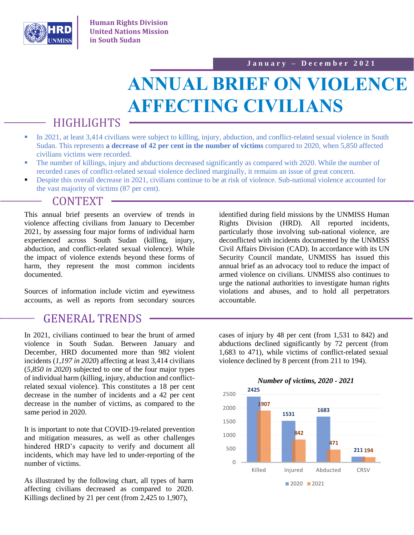

# **ANNUAL BRIEF ON VIOLENCE AFFECTING CIVILIANS**

## HIGHLIGHTS

- In 2021, at least 3,414 civilians were subject to killing, injury, abduction, and conflict-related sexual violence in South Sudan. This represents **a decrease of 42 per cent in the number of victims** compared to 2020, when 5,850 affected civilians victims were recorded.
- The number of killings, injury and abductions decreased significantly as compared with 2020. While the number of recorded cases of conflict-related sexual violence declined marginally, it remains an issue of great concern.
- **•** Despite this overall decrease in 2021, civilians continue to be at risk of violence. Sub-national violence accounted for the vast majority of victims (87 per cent).

### **CONTEXT**

This annual brief presents an overview of trends in violence affecting civilians from January to December 2021, by assessing four major forms of individual harm experienced across South Sudan (killing, injury, abduction, and conflict-related sexual violence). While the impact of violence extends beyond these forms of harm, they represent the most common incidents documented.

Sources of information include victim and eyewitness accounts, as well as reports from secondary sources

### GENERAL TRENDS

In 2021, civilians continued to bear the brunt of armed violence in South Sudan. Between January and December, HRD documented more than 982 violent incidents (*1,197 in 2020*) affecting at least 3,414 civilians (*5,850 in 2020*) subjected to one of the four major types of individual harm (killing, injury, abduction and conflictrelated sexual violence). This constitutes a 18 per cent decrease in the number of incidents and a 42 per cent decrease in the number of victims, as compared to the same period in 2020.

It is important to note that COVID-19-related prevention and mitigation measures, as well as other challenges hindered HRD's capacity to verify and document all incidents, which may have led to under-reporting of the number of victims.

As illustrated by the following chart, all types of harm affecting civilians decreased as compared to 2020. Killings declined by 21 per cent (from 2,425 to 1,907),

identified during field missions by the UNMISS Human Rights Division (HRD). All reported incidents, particularly those involving sub-national violence, are deconflicted with incidents documented by the UNMISS Civil Affairs Division (CAD). In accordance with its UN Security Council mandate, UNMISS has issued this annual brief as an advocacy tool to reduce the impact of armed violence on civilians. UNMISS also continues to urge the national authorities to investigate human rights violations and abuses, and to hold all perpetrators accountable.

cases of injury by 48 per cent (from 1,531 to 842) and abductions declined significantly by 72 percent (from 1,683 to 471), while victims of conflict-related sexual violence declined by 8 percent (from 211 to 194).

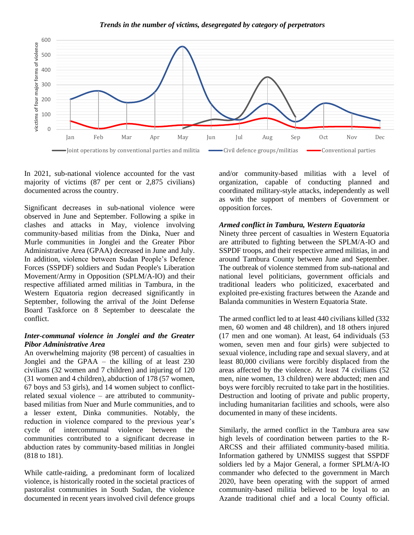

In 2021, sub-national violence accounted for the vast majority of victims (87 per cent or 2,875 civilians) documented across the country.

Significant decreases in sub-national violence were observed in June and September. Following a spike in clashes and attacks in May, violence involving community-based militias from the Dinka, Nuer and Murle communities in Jonglei and the Greater Pibor Administrative Area (GPAA) decreased in June and July. In addition, violence between Sudan People's Defence Forces (SSPDF) soldiers and Sudan People's Liberation Movement/Army in Opposition (SPLM/A-IO) and their respective affiliated armed militias in Tambura, in the Western Equatoria region decreased significantly in September, following the arrival of the Joint Defense Board Taskforce on 8 September to deescalate the conflict.

#### *Inter-communal violence in Jonglei and the Greater Pibor Administrative Area*

An overwhelming majority (98 percent) of casualties in Jonglei and the GPAA – the killing of at least 230 civilians (32 women and 7 children) and injuring of 120 (31 women and 4 children), abduction of 178 (57 women, 67 boys and 53 girls), and 14 women subject to conflictrelated sexual violence – are attributed to communitybased militias from Nuer and Murle communities, and to a lesser extent, Dinka communities. Notably, the reduction in violence compared to the previous year's cycle of intercommunal violence between the communities contributed to a significant decrease in abduction rates by community-based militias in Jonglei (818 to 181).

While cattle-raiding, a predominant form of localized violence, is historically rooted in the societal practices of pastoralist communities in South Sudan, the violence documented in recent years involved civil defence groups

and/or community-based militias with a level of organization, capable of conducting planned and coordinated military-style attacks, independently as well as with the support of members of Government or opposition forces.

#### *Armed conflict in Tambura, Western Equatoria*

Ninety three percent of casualties in Western Equatoria are attributed to fighting between the SPLM/A-IO and SSPDF troops, and their respective armed militias, in and around Tambura County between June and September. The outbreak of violence stemmed from sub-national and national level politicians, government officials and traditional leaders who politicized, exacerbated and exploited pre-existing fractures between the Azande and Balanda communities in Western Equatoria State.

The armed conflict led to at least 440 civilians killed (332 men, 60 women and 48 children), and 18 others injured (17 men and one woman). At least, 64 individuals (53 women, seven men and four girls) were subjected to sexual violence, including rape and sexual slavery, and at least 80,000 civilians were forcibly displaced from the areas affected by the violence. At least 74 civilians (52 men, nine women, 13 children) were abducted; men and boys were forcibly recruited to take part in the hostilities. Destruction and looting of private and public property, including humanitarian facilities and schools, were also documented in many of these incidents.

Similarly, the armed conflict in the Tambura area saw high levels of coordination between parties to the R-ARCSS and their affiliated community-based militia. Information gathered by UNMISS suggest that SSPDF soldiers led by a Major General, a former SPLM/A-IO commander who defected to the government in March 2020, have been operating with the support of armed community-based militia believed to be loyal to an Azande traditional chief and a local County official.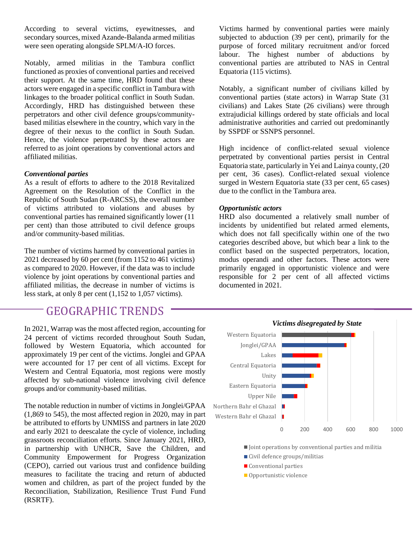According to several victims, eyewitnesses, and secondary sources, mixed Azande-Balanda armed militias were seen operating alongside SPLM/A-IO forces.

Notably, armed militias in the Tambura conflict functioned as proxies of conventional parties and received their support. At the same time, HRD found that these actors were engaged in a specific conflict in Tambura with linkages to the broader political conflict in South Sudan. Accordingly, HRD has distinguished between these perpetrators and other civil defence groups/communitybased militias elsewhere in the country, which vary in the degree of their nexus to the conflict in South Sudan. Hence, the violence perpetrated by these actors are referred to as joint operations by conventional actors and affiliated militias.

#### *Conventional parties*

As a result of efforts to adhere to the 2018 Revitalized Agreement on the Resolution of the Conflict in the Republic of South Sudan (R-ARCSS), the overall number of victims attributed to violations and abuses by conventional parties has remained significantly lower (11 per cent) than those attributed to civil defence groups and/or community-based militias.

The number of victims harmed by conventional parties in 2021 decreased by 60 per cent (from 1152 to 461 victims) as compared to 2020. However, if the data was to include violence by joint operations by conventional parties and affiliated militias, the decrease in number of victims is less stark, at only 8 per cent (1,152 to 1,057 victims).

### GEOGRAPHIC TRENDS

In 2021, Warrap was the most affected region, accounting for 24 percent of victims recorded throughout South Sudan, followed by Western Equatoria, which accounted for approximately 19 per cent of the victims. Jonglei and GPAA were accounted for 17 per cent of all victims. Except for Western and Central Equatoria, most regions were mostly affected by sub-national violence involving civil defence groups and/or community-based militias.

The notable reduction in number of victims in Jonglei/GPAA (1,869 to 545), the most affected region in 2020, may in part be attributed to efforts by UNMISS and partners in late 2020 and early 2021 to deescalate the cycle of violence, including grassroots reconciliation efforts. Since January 2021, HRD, in partnership with UNHCR, Save the Children, and Community Empowerment for Progress Organization (CEPO), carried out various trust and confidence building measures to facilitate the tracing and return of abducted women and children, as part of the project funded by the Reconciliation, Stabilization, Resilience Trust Fund Fund (RSRTF).

Victims harmed by conventional parties were mainly subjected to abduction (39 per cent), primarily for the purpose of forced military recruitment and/or forced labour. The highest number of abductions by conventional parties are attributed to NAS in Central Equatoria (115 victims).

Notably, a significant number of civilians killed by conventional parties (state actors) in Warrap State (31 civilians) and Lakes State (26 civilians) were through extrajudicial killings ordered by state officials and local administrative authorities and carried out predominantly by SSPDF or SSNPS personnel.

High incidence of conflict-related sexual violence perpetrated by conventional parties persist in Central Equatoria state, particularly in Yei and Lainya county, (20 per cent, 36 cases). Conflict-related sexual violence surged in Western Equatoria state (33 per cent, 65 cases) due to the conflict in the Tambura area.

#### *Opportunistic actors*

HRD also documented a relatively small number of incidents by unidentified but related armed elements, which does not fall specifically within one of the two categories described above, but which bear a link to the conflict based on the suspected perpetrators, location, modus operandi and other factors. These actors were primarily engaged in opportunistic violence and were responsible for 2 per cent of all affected victims documented in 2021.



 $\blacksquare$  Joint operations by conventional parties and militia

- Civil defence groups/militias
- **Conventional parties**
- Opportunistic violence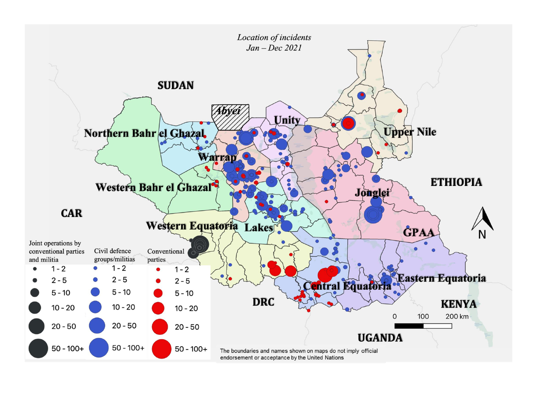